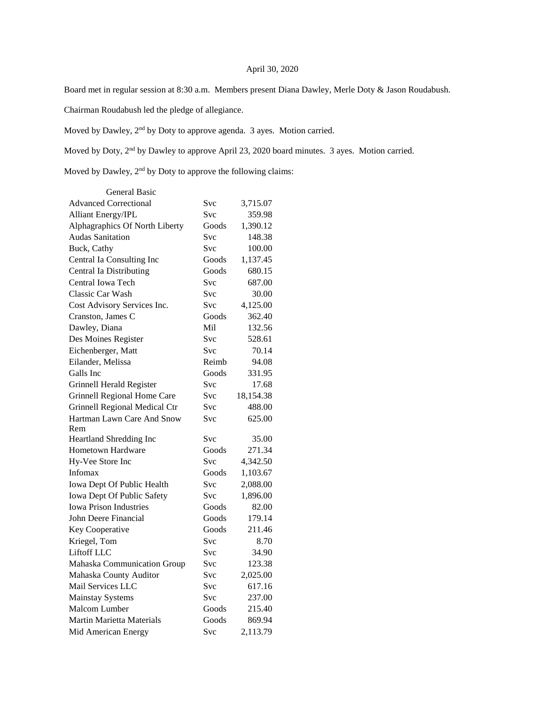## April 30, 2020

Board met in regular session at 8:30 a.m. Members present Diana Dawley, Merle Doty & Jason Roudabush.

Chairman Roudabush led the pledge of allegiance.

Moved by Dawley, 2nd by Doty to approve agenda. 3 ayes. Motion carried.

Moved by Doty, 2nd by Dawley to approve April 23, 2020 board minutes. 3 ayes. Motion carried.

Moved by Dawley, 2nd by Doty to approve the following claims:

| General Basic                      |            |           |
|------------------------------------|------------|-----------|
| <b>Advanced Correctional</b>       | Svc        | 3,715.07  |
| <b>Alliant Energy/IPL</b>          | Svc        | 359.98    |
| Alphagraphics Of North Liberty     | Goods      | 1,390.12  |
| <b>Audas Sanitation</b>            | Svc        | 148.38    |
| Buck, Cathy                        | <b>Svc</b> | 100.00    |
| Central Ia Consulting Inc          | Goods      | 1,137.45  |
| <b>Central Ia Distributing</b>     | Goods      | 680.15    |
| Central Iowa Tech                  | Svc        | 687.00    |
| Classic Car Wash                   | Svc        | 30.00     |
| Cost Advisory Services Inc.        | Svc        | 4,125.00  |
| Cranston, James C                  | Goods      | 362.40    |
| Dawley, Diana                      | Mil        | 132.56    |
| Des Moines Register                | Svc        | 528.61    |
| Eichenberger, Matt                 | Svc        | 70.14     |
| Eilander, Melissa                  | Reimb      | 94.08     |
| Galls Inc                          | Goods      | 331.95    |
| <b>Grinnell Herald Register</b>    | <b>Svc</b> | 17.68     |
| <b>Grinnell Regional Home Care</b> | Svc        | 18,154.38 |
| Grinnell Regional Medical Ctr      | Svc        | 488.00    |
| Hartman Lawn Care And Snow         | <b>Svc</b> | 625.00    |
| Rem                                |            |           |
| Heartland Shredding Inc            | Svc        | 35.00     |
| <b>Hometown Hardware</b>           | Goods      | 271.34    |
| Hy-Vee Store Inc                   | <b>Svc</b> | 4,342.50  |
| Infomax                            | Goods      | 1,103.67  |
| Iowa Dept Of Public Health         | Svc        | 2,088.00  |
| Iowa Dept Of Public Safety         | Svc        | 1,896.00  |
| <b>Iowa Prison Industries</b>      | Goods      | 82.00     |
| John Deere Financial               | Goods      | 179.14    |
| Key Cooperative                    | Goods      | 211.46    |
| Kriegel, Tom                       | <b>Svc</b> | 8.70      |
| Liftoff LLC                        | Svc        | 34.90     |
| Mahaska Communication Group        | Svc        | 123.38    |
| Mahaska County Auditor             | Svc        | 2,025.00  |
| Mail Services LLC                  | Svc        | 617.16    |
| <b>Mainstay Systems</b>            | <b>Svc</b> | 237.00    |
| <b>Malcom Lumber</b>               | Goods      | 215.40    |
| <b>Martin Marietta Materials</b>   | Goods      | 869.94    |
| Mid American Energy                | Svc        | 2,113.79  |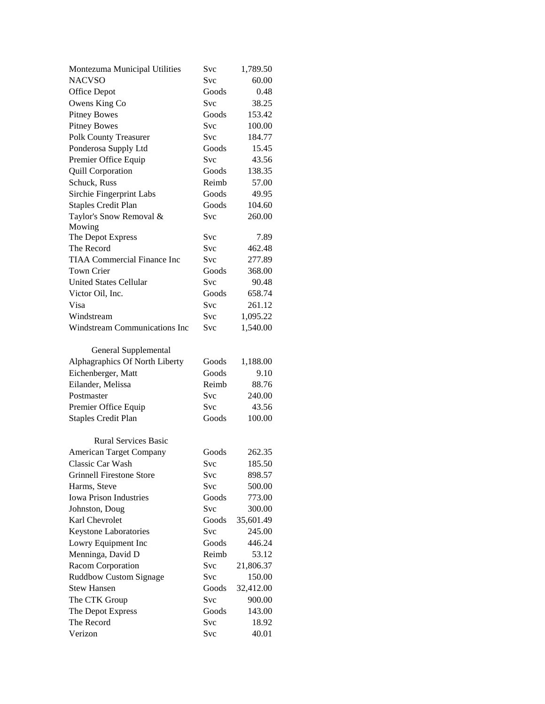| Montezuma Municipal Utilities        | Svc        | 1,789.50  |
|--------------------------------------|------------|-----------|
| <b>NACVSO</b>                        | Svc        | 60.00     |
| Office Depot                         | Goods      | 0.48      |
| Owens King Co                        | Svc        | 38.25     |
| <b>Pitney Bowes</b>                  | Goods      | 153.42    |
| <b>Pitney Bowes</b>                  | <b>Svc</b> | 100.00    |
| Polk County Treasurer                | Svc        | 184.77    |
| Ponderosa Supply Ltd                 | Goods      | 15.45     |
| Premier Office Equip                 | Svc        | 43.56     |
| <b>Quill Corporation</b>             | Goods      | 138.35    |
| Schuck, Russ                         | Reimb      | 57.00     |
| Sirchie Fingerprint Labs             | Goods      | 49.95     |
| <b>Staples Credit Plan</b>           | Goods      | 104.60    |
| Taylor's Snow Removal &              | Svc        | 260.00    |
| Mowing                               |            |           |
| The Depot Express                    | Svc        | 7.89      |
| The Record                           | Svc        | 462.48    |
| <b>TIAA Commercial Finance Inc</b>   | Svc        | 277.89    |
| <b>Town Crier</b>                    | Goods      | 368.00    |
| <b>United States Cellular</b>        | Svc        | 90.48     |
| Victor Oil, Inc.                     | Goods      | 658.74    |
| Visa                                 | Svc        | 261.12    |
| Windstream                           | <b>Svc</b> | 1,095.22  |
| <b>Windstream Communications Inc</b> | Svc        | 1,540.00  |
|                                      |            |           |
| General Supplemental                 |            |           |
| Alphagraphics Of North Liberty       | Goods      | 1,188.00  |
| Eichenberger, Matt                   | Goods      | 9.10      |
| Eilander, Melissa                    | Reimb      | 88.76     |
| Postmaster                           | Svc        | 240.00    |
| Premier Office Equip                 | Svc        | 43.56     |
| <b>Staples Credit Plan</b>           | Goods      | 100.00    |
|                                      |            |           |
| <b>Rural Services Basic</b>          |            |           |
| <b>American Target Company</b>       | Goods      | 262.35    |
| Classic Car Wash                     | Svc        | 185.50    |
| <b>Grinnell Firestone Store</b>      | Svc        | 898.57    |
| Harms, Steve                         | Svc        | 500.00    |
| <b>Iowa Prison Industries</b>        | Goods      | 773.00    |
| Johnston, Doug                       | Svc        | 300.00    |
| Karl Chevrolet                       | Goods      | 35,601.49 |
| Keystone Laboratories                | Svc        | 245.00    |
| Lowry Equipment Inc                  | Goods      | 446.24    |
| Menninga, David D                    | Reimb      | 53.12     |
| Racom Corporation                    | Svc        | 21,806.37 |
| <b>Ruddbow Custom Signage</b>        | Svc        | 150.00    |
| <b>Stew Hansen</b>                   | Goods      | 32,412.00 |
| The CTK Group                        | Svc        | 900.00    |
| The Depot Express                    | Goods      | 143.00    |
| The Record                           | Svc        | 18.92     |
| Verizon                              | Svc        | 40.01     |
|                                      |            |           |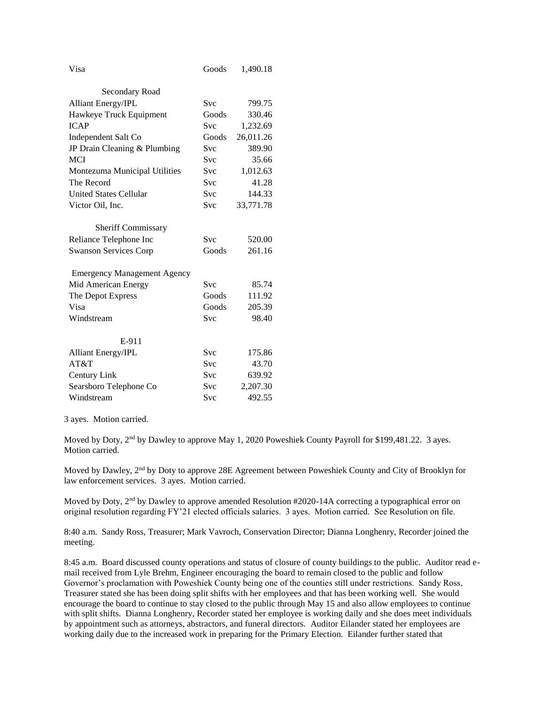| Visa                               | Goods      | 1,490.18  |
|------------------------------------|------------|-----------|
| Secondary Road                     |            |           |
| <b>Alliant Energy/IPL</b>          | <b>Svc</b> | 799.75    |
| Hawkeye Truck Equipment            | Goods      | 330.46    |
| <b>ICAP</b>                        | <b>Svc</b> | 1,232.69  |
| Independent Salt Co                | Goods      | 26,011.26 |
| JP Drain Cleaning & Plumbing       | Svc        | 389.90    |
| <b>MCI</b>                         | <b>Svc</b> | 35.66     |
| Montezuma Municipal Utilities      | <b>Svc</b> | 1,012.63  |
| The Record                         | <b>Svc</b> | 41.28     |
| <b>United States Cellular</b>      | Svc        | 144.33    |
| Victor Oil, Inc.                   | <b>Svc</b> | 33,771.78 |
| <b>Sheriff Commissary</b>          |            |           |
| Reliance Telephone Inc             | <b>Svc</b> | 520.00    |
| <b>Swanson Services Corp</b>       | Goods      | 261.16    |
| <b>Emergency Management Agency</b> |            |           |
| Mid American Energy                | <b>Svc</b> | 85.74     |
| The Depot Express                  | Goods      | 111.92    |
| Visa                               | Goods      | 205.39    |
| Windstream                         | Svc        | 98.40     |
| E-911                              |            |           |
| <b>Alliant Energy/IPL</b>          | Svc        | 175.86    |
| AT&T                               | <b>Svc</b> | 43.70     |
| Century Link                       | <b>Svc</b> | 639.92    |
| Searsboro Telephone Co             | Svc        | 2,207.30  |
| Windstream                         | Svc        | 492.55    |

3 ayes. Motion carried.

Moved by Doty, 2<sup>nd</sup> by Dawley to approve May 1, 2020 Poweshiek County Payroll for \$199,481.22. 3 ayes. Motion carried.

Moved by Dawley, 2<sup>nd</sup> by Doty to approve 28E Agreement between Poweshiek County and City of Brooklyn for law enforcement services. 3 ayes. Motion carried.

Moved by Doty, 2<sup>nd</sup> by Dawley to approve amended Resolution #2020-14A correcting a typographical error on original resolution regarding FY'21 elected officials salaries. 3 ayes. Motion carried. See Resolution on file.

8:40 a.m. Sandy Ross, Treasurer; Mark Vavroch, Conservation Director; Dianna Longhenry, Recorder joined the meeting.

8:45 a.m. Board discussed county operations and status of closure of county buildings to the public. Auditor read email received from Lyle Brehm, Engineer encouraging the board to remain closed to the public and follow Governor's proclamation with Poweshiek County being one of the counties still under restrictions. Sandy Ross, Treasurer stated she has been doing split shifts with her employees and that has been working well. She would encourage the board to continue to stay closed to the public through May 15 and also allow employees to continue with split shifts. Dianna Longhenry, Recorder stated her employee is working daily and she does meet individuals by appointment such as attorneys, abstractors, and funeral directors. Auditor Eilander stated her employees are working daily due to the increased work in preparing for the Primary Election. Eilander further stated that